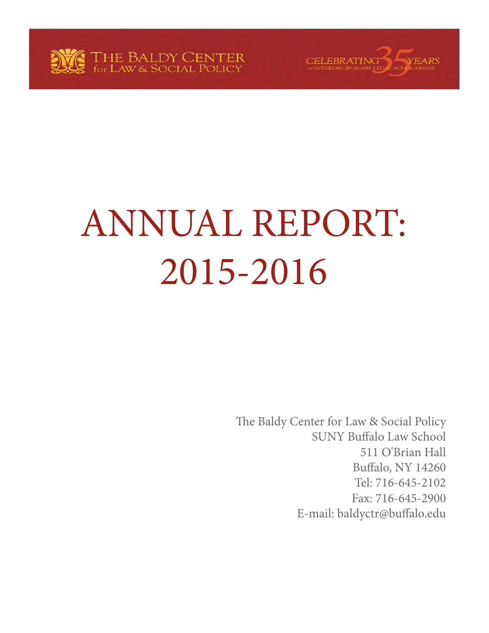



The Baldy Center for Law & Social Policy SUNY Buffalo Law School 511 O'Brian Hall Buffalo, NY 14260 Tel: 716-645-2102 Fax: 716-645-2900 E-mail: baldyctr@buffalo.edu

CELEBRATING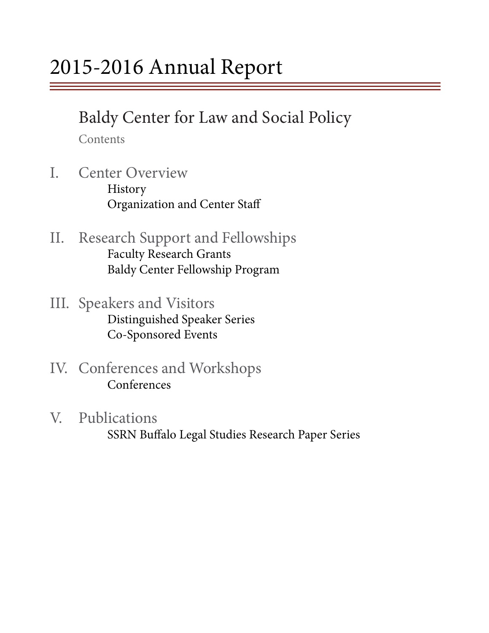# Baldy Center for Law and Social Policy

Contents

- I. Center Overview History Organization and Center Staff
- II. Research Support and Fellowships Faculty Research Grants Baldy Center Fellowship Program
- III. Speakers and Visitors<br>Distinguished Speaker Series Co-Sponsored Events
- IV. Conferences and Workshops Conferences
- V. Publications SSRN Buffalo Legal Studies Research Paper Series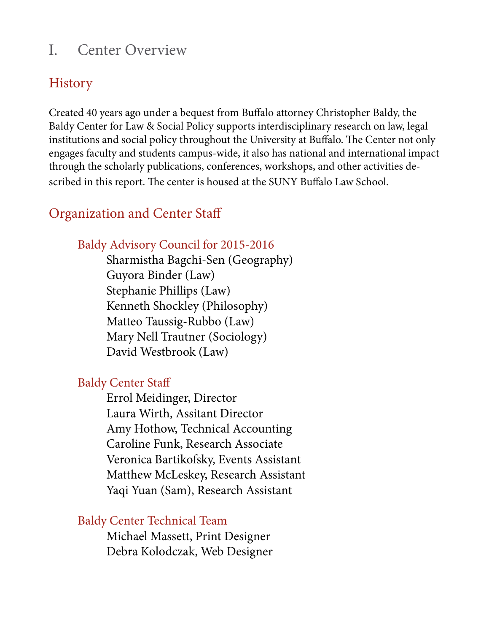### I. Center Overview

### **History**

Created 40 years ago under a bequest from Buffalo attorney Christopher Baldy, the Baldy Center for Law & Social Policy supports interdisciplinary research on law, legal institutions and social policy throughout the University at Buffalo. The Center not only engages faculty and students campus-wide, it also has national and international impact through the scholarly publications, conferences, workshops, and other activities described in this report. The center is housed at the SUNY Buffalo Law School.

### Organization and Center Staff

### Baldy Advisory Council for 2015-2016

 Sharmistha Bagchi-Sen (Geography) Guyora Binder (Law) Stephanie Phillips (Law) Kenneth Shockley (Philosophy) Matteo Taussig-Rubbo (Law) Mary Nell Trautner (Sociology) David Westbrook (Law)

### Baldy Center Staff

 Errol Meidinger, Director Laura Wirth, Assitant Director Amy Hothow, Technical Accounting Caroline Funk, Research Associate Veronica Bartikofsky, Events Assistant Matthew McLeskey, Research Assistant Yaqi Yuan (Sam), Research Assistant

### Baldy Center Technical Team

 Michael Massett, Print Designer Debra Kolodczak, Web Designer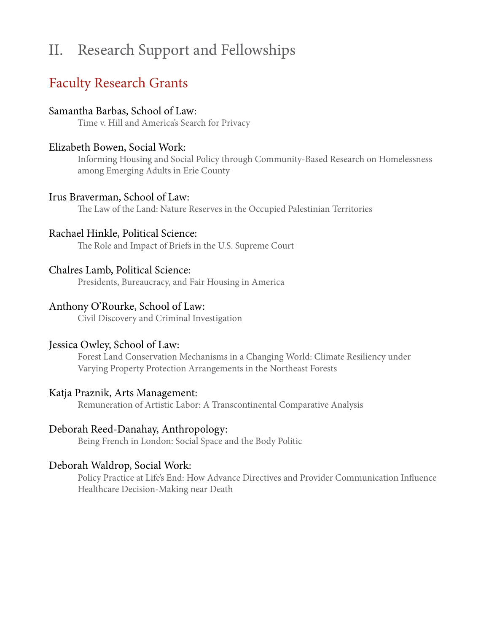## II. Research Support and Fellowships

### Faculty Research Grants

#### Samantha Barbas, School of Law:

Time v. Hill and America's Search for Privacy

#### Elizabeth Bowen, Social Work:

Informing Housing and Social Policy through Community-Based Research on Homelessness among Emerging Adults in Erie County

#### Irus Braverman, School of Law:

The Law of the Land: Nature Reserves in the Occupied Palestinian Territories

#### Rachael Hinkle, Political Science:

The Role and Impact of Briefs in the U.S. Supreme Court

#### Chalres Lamb, Political Science:

Presidents, Bureaucracy, and Fair Housing in America

#### Anthony O'Rourke, School of Law:

Civil Discovery and Criminal Investigation

#### Jessica Owley, School of Law:

Forest Land Conservation Mechanisms in a Changing World: Climate Resiliency under Varying Property Protection Arrangements in the Northeast Forests

#### Katja Praznik, Arts Management:

Remuneration of Artistic Labor: A Transcontinental Comparative Analysis

#### Deborah Reed-Danahay, Anthropology:

Being French in London: Social Space and the Body Politic

#### Deborah Waldrop, Social Work:

Policy Practice at Life's End: How Advance Directives and Provider Communication Influence Healthcare Decision-Making near Death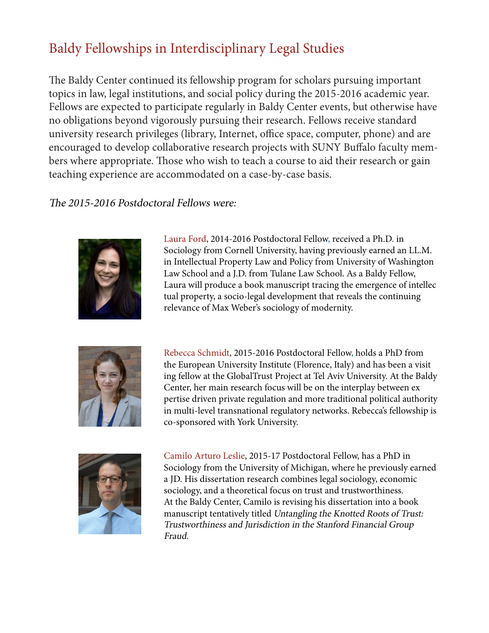## Baldy Fellowships in Interdisciplinary Legal Studies

The Baldy Center continued its fellowship program for scholars pursuing important topics in law, legal institutions, and social policy during the 2015-2016 academic year. Fellows are expected to participate regularly in Baldy Center events, but otherwise have no obligations beyond vigorously pursuing their research. Fellows receive standard university research privileges (library, Internet, office space, computer, phone) and are encouraged to develop collaborative research projects with SUNY Buffalo faculty members where appropriate. Those who wish to teach a course to aid their research or gain teaching experience are accommodated on a case-by-case basis.

#### The 2015-2016 Postdoctoral Fellows were:



Laura Ford, 2014-2016 Postdoctoral Fellow, received a Ph.D. in Sociology from Cornell University, having previously earned an LL.M. in Intellectual Property Law and Policy from University of Washington Law School and a J.D. from Tulane Law School. As a Baldy Fellow, Laura will produce a book manuscript tracing the emergence of intellec tual property, a socio-legal development that reveals the continuing relevance of Max Weber's sociology of modernity.



Rebecca Schmidt, 2015-2016 Postdoctoral Fellow, holds a PhD from the European University Institute (Florence, Italy) and has been a visit ing fellow at the GlobalTrust Project at Tel Aviv University. At the Baldy Center, her main research focus will be on the interplay between ex pertise driven private regulation and more traditional political authority in multi-level transnational regulatory networks. Rebecca's fellowship is co-sponsored with York University.



Camilo Arturo Leslie, 2015-17 Postdoctoral Fellow, has a PhD in Sociology from the University of Michigan, where he previously earned a JD. His dissertation research combines legal sociology, economic sociology, and a theoretical focus on trust and trustworthiness. At the Baldy Center, Camilo is revising his dissertation into a book manuscript tentatively titled Untangling the Knotted Roots of Trust: Trustworthiness and Jurisdiction in the Stanford Financial Group Fraud.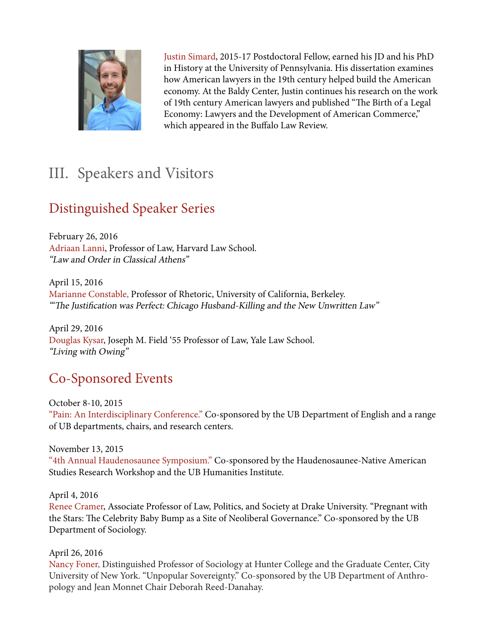

 Justin Simard, 2015-17 Postdoctoral Fellow, earned his JD and his PhD in History at the University of Pennsylvania. His dissertation examines how American lawyers in the 19th century helped build the American economy. At the Baldy Center, Justin continues his research on the work of 19th century American lawyers and published "The Birth of a Legal Economy: Lawyers and the Development of American Commerce," which appeared in the Buffalo Law Review.

## III. Speakers and Visitors

## Distinguished Speaker Series

February 26, 2016 Adriaan Lanni, Professor of Law, Harvard Law School. "Law and Order in Classical Athens"

April 15, 2016 Marianne Constable, Professor of Rhetoric, University of California, Berkeley. "'The Justification was Perfect: Chicago Husband-Killing and the New Unwritten Law"

April 29, 2016 Douglas Kysar, Joseph M. Field '55 Professor of Law, Yale Law School. "Living with Owing"

## Co-Sponsored Events

October 8-10, 2015 "Pain: An Interdisciplinary Conference." Co-sponsored by the UB Department of English and a range of UB departments, chairs, and research centers.

November 13, 2015

"4th Annual Haudenosaunee Symposium." Co-sponsored by the Haudenosaunee-Native American Studies Research Workshop and the UB Humanities Institute.

April 4, 2016

Renee Cramer, Associate Professor of Law, Politics, and Society at Drake University. "Pregnant with the Stars: The Celebrity Baby Bump as a Site of Neoliberal Governance." Co-sponsored by the UB Department of Sociology.

#### April 26, 2016

Nancy Foner, Distinguished Professor of Sociology at Hunter College and the Graduate Center, City University of New York. "Unpopular Sovereignty." Co-sponsored by the UB Department of Anthropology and Jean Monnet Chair Deborah Reed-Danahay.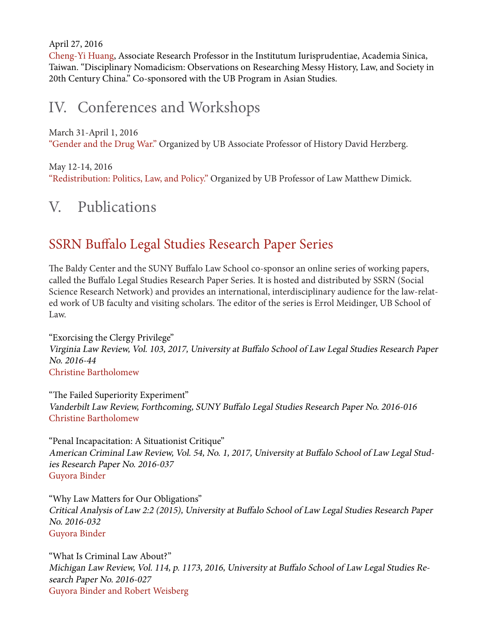April 27, 2016

Cheng-Yi Huang, Associate Research Professor in the Institutum Iurisprudentiae, Academia Sinica, Taiwan. "Disciplinary Nomadicism: Observations on Researching Messy History, Law, and Society in 20th Century China." Co-sponsored with the UB Program in Asian Studies.

## IV. Conferences and Workshops

March 31-April 1, 2016 "Gender and the Drug War." Organized by UB Associate Professor of History David Herzberg.

May 12-14, 2016 "Redistribution: Politics, Law, and Policy." Organized by UB Professor of Law Matthew Dimick.

## V. Publications

### SSRN Buffalo Legal Studies Research Paper Series

The Baldy Center and the SUNY Buffalo Law School co-sponsor an online series of working papers, called the Buffalo Legal Studies Research Paper Series. It is hosted and distributed by SSRN (Social Science Research Network) and provides an international, interdisciplinary audience for the law-related work of UB faculty and visiting scholars. The editor of the series is Errol Meidinger, UB School of Law.

"Exorcising the Clergy Privilege" Virginia Law Review, Vol. 103, 2017, University at Buffalo School of Law Legal Studies Research Paper No. 2016-44 Christine Bartholomew

"The Failed Superiority Experiment" Vanderbilt Law Review, Forthcoming, SUNY Buffalo Legal Studies Research Paper No. 2016-016 Christine Bartholomew

"Penal Incapacitation: A Situationist Critique" American Criminal Law Review, Vol. 54, No. 1, 2017, University at Buffalo School of Law Legal Studies Research Paper No. 2016-037 Guyora Binder

"Why Law Matters for Our Obligations" Critical Analysis of Law 2:2 (2015), University at Buffalo School of Law Legal Studies Research Paper No. 2016-032 Guyora Binder

"What Is Criminal Law About?" Michigan Law Review, Vol. 114, p. 1173, 2016, University at Buffalo School of Law Legal Studies Research Paper No. 2016-027 Guyora Binder and Robert Weisberg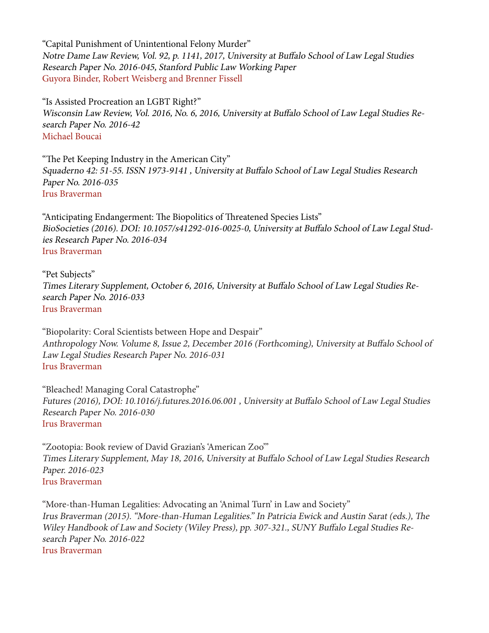"Capital Punishment of Unintentional Felony Murder" Notre Dame Law Review, Vol. 92, p. 1141, 2017, University at Buffalo School of Law Legal Studies Research Paper No. 2016-045, Stanford Public Law Working Paper Guyora Binder, Robert Weisberg and Brenner Fissell

"Is Assisted Procreation an LGBT Right?" Wisconsin Law Review, Vol. 2016, No. 6, 2016, University at Buffalo School of Law Legal Studies Research Paper No. 2016-42 Michael Boucai

"The Pet Keeping Industry in the American City" Squaderno 42: 51-55. ISSN 1973-9141 , University at Buffalo School of Law Legal Studies Research Paper No. 2016-035 Irus Braverman

"Anticipating Endangerment: The Biopolitics of Threatened Species Lists" BioSocieties (2016). DOI: 10.1057/s41292-016-0025-0, University at Buffalo School of Law Legal Studies Research Paper No. 2016-034 Irus Braverman

"Pet Subjects" Times Literary Supplement, October 6, 2016, University at Buffalo School of Law Legal Studies Research Paper No. 2016-033 Irus Braverman

"Biopolarity: Coral Scientists between Hope and Despair" Anthropology Now. Volume 8, Issue 2, December 2016 (Forthcoming), University at Buffalo School of Law Legal Studies Research Paper No. 2016-031 Irus Braverman

"Bleached! Managing Coral Catastrophe" Futures (2016), DOI: 10.1016/j.futures.2016.06.001 , University at Buffalo School of Law Legal Studies Research Paper No. 2016-030 Irus Braverman

"Zootopia: Book review of David Grazian's 'American Zoo'" Times Literary Supplement, May 18, 2016, University at Buffalo School of Law Legal Studies Research Paper. 2016-023 Irus Braverman

"More-than-Human Legalities: Advocating an 'Animal Turn' in Law and Society" Irus Braverman (2015). "More-than-Human Legalities." In Patricia Ewick and Austin Sarat (eds.), The Wiley Handbook of Law and Society (Wiley Press), pp. 307-321., SUNY Buffalo Legal Studies Research Paper No. 2016-022 Irus Braverman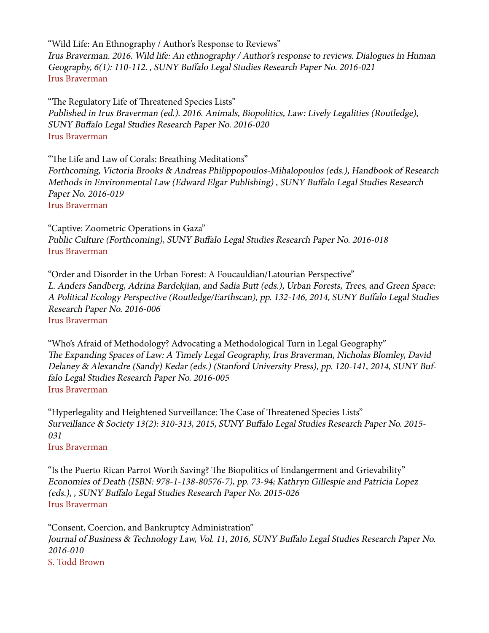"Wild Life: An Ethnography / Author's Response to Reviews" Irus Braverman. 2016. Wild life: An ethnography / Author's response to reviews. Dialogues in Human Geography, 6(1): 110-112. , SUNY Buffalo Legal Studies Research Paper No. 2016-021 Irus Braverman

"The Regulatory Life of Threatened Species Lists" Published in Irus Braverman (ed.). 2016. Animals, Biopolitics, Law: Lively Legalities (Routledge), SUNY Buffalo Legal Studies Research Paper No. 2016-020 Irus Braverman

"The Life and Law of Corals: Breathing Meditations" Forthcoming, Victoria Brooks & Andreas Philippopoulos-Mihalopoulos (eds.), Handbook of Research Methods in Environmental Law (Edward Elgar Publishing) , SUNY Buffalo Legal Studies Research Paper No. 2016-019 Irus Braverman

"Captive: Zoometric Operations in Gaza" Public Culture (Forthcoming), SUNY Buffalo Legal Studies Research Paper No. 2016-018 Irus Braverman

"Order and Disorder in the Urban Forest: A Foucauldian/Latourian Perspective" L. Anders Sandberg, Adrina Bardekjian, and Sadia Butt (eds.), Urban Forests, Trees, and Green Space: A Political Ecology Perspective (Routledge/Earthscan), pp. 132-146, 2014, SUNY Buffalo Legal Studies Research Paper No. 2016-006 Irus Braverman

"Who's Afraid of Methodology? Advocating a Methodological Turn in Legal Geography" The Expanding Spaces of Law: A Timely Legal Geography, Irus Braverman, Nicholas Blomley, David Delaney & Alexandre (Sandy) Kedar (eds.) (Stanford University Press), pp. 120-141, 2014, SUNY Buffalo Legal Studies Research Paper No. 2016-005 Irus Braverman

"Hyperlegality and Heightened Surveillance: The Case of Threatened Species Lists" Surveillance & Society 13(2): 310-313, 2015, SUNY Buffalo Legal Studies Research Paper No. 2015- 031 Irus Braverman

"Is the Puerto Rican Parrot Worth Saving? The Biopolitics of Endangerment and Grievability" Economies of Death (ISBN: 978-1-138-80576-7), pp. 73-94; Kathryn Gillespie and Patricia Lopez (eds.), , SUNY Buffalo Legal Studies Research Paper No. 2015-026 Irus Braverman

"Consent, Coercion, and Bankruptcy Administration" Journal of Business & Technology Law, Vol. 11, 2016, SUNY Buffalo Legal Studies Research Paper No. 2016-010 S. Todd Brown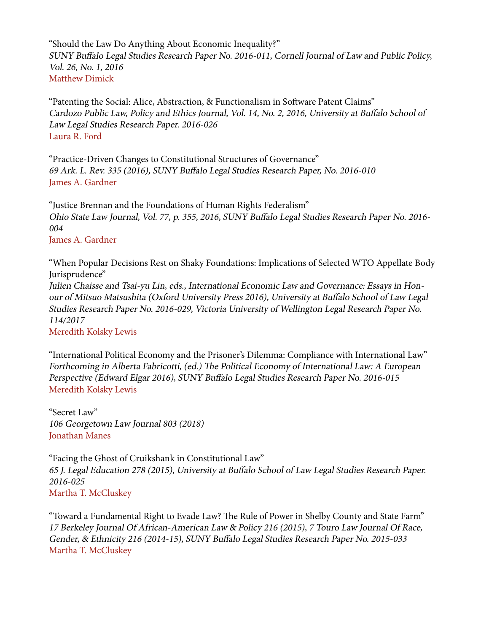"Should the Law Do Anything About Economic Inequality?" SUNY Buffalo Legal Studies Research Paper No. 2016-011, Cornell Journal of Law and Public Policy, Vol. 26, No. 1, 2016 Matthew Dimick

"Patenting the Social: Alice, Abstraction, & Functionalism in Software Patent Claims" Cardozo Public Law, Policy and Ethics Journal, Vol. 14, No. 2, 2016, University at Buffalo School of Law Legal Studies Research Paper. 2016-026 Laura R. Ford

"Practice-Driven Changes to Constitutional Structures of Governance" 69 Ark. L. Rev. 335 (2016), SUNY Buffalo Legal Studies Research Paper, No. 2016-010 James A. Gardner

"Justice Brennan and the Foundations of Human Rights Federalism" Ohio State Law Journal, Vol. 77, p. 355, 2016, SUNY Buffalo Legal Studies Research Paper No. 2016- 004

James A. Gardner

"When Popular Decisions Rest on Shaky Foundations: Implications of Selected WTO Appellate Body Jurisprudence"

Julien Chaisse and Tsai-yu Lin, eds., International Economic Law and Governance: Essays in Honour of Mitsuo Matsushita (Oxford University Press 2016), University at Buffalo School of Law Legal Studies Research Paper No. 2016-029, Victoria University of Wellington Legal Research Paper No. 114/2017

Meredith Kolsky Lewis

"International Political Economy and the Prisoner's Dilemma: Compliance with International Law" Forthcoming in Alberta Fabricotti, (ed.) The Political Economy of International Law: A European Perspective (Edward Elgar 2016), SUNY Buffalo Legal Studies Research Paper No. 2016-015 Meredith Kolsky Lewis

"Secret Law" 106 Georgetown Law Journal 803 (2018) Jonathan Manes

"Facing the Ghost of Cruikshank in Constitutional Law" 65 J. Legal Education 278 (2015), University at Buffalo School of Law Legal Studies Research Paper. 2016-025 Martha T. McCluskey

"Toward a Fundamental Right to Evade Law? The Rule of Power in Shelby County and State Farm" 17 Berkeley Journal Of African-American Law & Policy 216 (2015), 7 Touro Law Journal Of Race, Gender, & Ethnicity 216 (2014-15), SUNY Buffalo Legal Studies Research Paper No. 2015-033 Martha T. McCluskey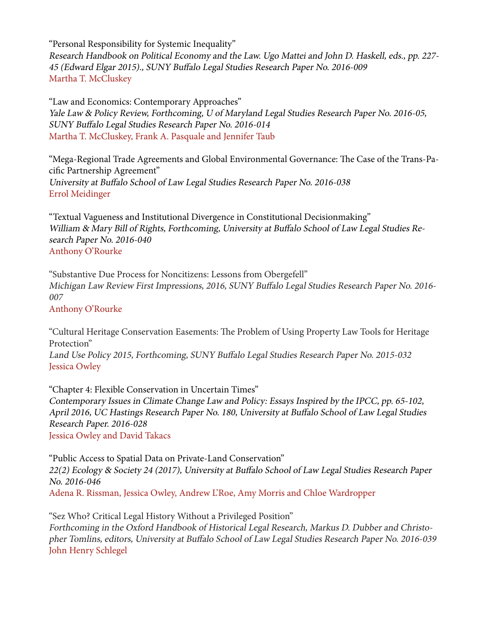"Personal Responsibility for Systemic Inequality" Research Handbook on Political Economy and the Law. Ugo Mattei and John D. Haskell, eds., pp. 227- 45 (Edward Elgar 2015)., SUNY Buffalo Legal Studies Research Paper No. 2016-009 Martha T. McCluskey

"Law and Economics: Contemporary Approaches" Yale Law & Policy Review, Forthcoming, U of Maryland Legal Studies Research Paper No. 2016-05, SUNY Buffalo Legal Studies Research Paper No. 2016-014 Martha T. McCluskey, Frank A. Pasquale and Jennifer Taub

"Mega-Regional Trade Agreements and Global Environmental Governance: The Case of the Trans-Pacific Partnership Agreement" University at Buffalo School of Law Legal Studies Research Paper No. 2016-038 Errol Meidinger

"Textual Vagueness and Institutional Divergence in Constitutional Decisionmaking" William & Mary Bill of Rights, Forthcoming, University at Buffalo School of Law Legal Studies Research Paper No. 2016-040 Anthony O'Rourke

"Substantive Due Process for Noncitizens: Lessons from Obergefell" Michigan Law Review First Impressions, 2016, SUNY Buffalo Legal Studies Research Paper No. 2016- 007

Anthony O'Rourke

"Cultural Heritage Conservation Easements: The Problem of Using Property Law Tools for Heritage Protection"

Land Use Policy 2015, Forthcoming, SUNY Buffalo Legal Studies Research Paper No. 2015-032 Jessica Owley

"Chapter 4: Flexible Conservation in Uncertain Times" Contemporary Issues in Climate Change Law and Policy: Essays Inspired by the IPCC, pp. 65-102, April 2016, UC Hastings Research Paper No. 180, University at Buffalo School of Law Legal Studies Research Paper. 2016-028 Jessica Owley and David Takacs

"Public Access to Spatial Data on Private-Land Conservation" 22(2) Ecology & Society 24 (2017), University at Buffalo School of Law Legal Studies Research Paper No. 2016-046 Adena R. Rissman, Jessica Owley, Andrew L'Roe, Amy Morris and Chloe Wardropper

"Sez Who? Critical Legal History Without a Privileged Position" Forthcoming in the Oxford Handbook of Historical Legal Research, Markus D. Dubber and Christopher Tomlins, editors, University at Buffalo School of Law Legal Studies Research Paper No. 2016-039 John Henry Schlegel